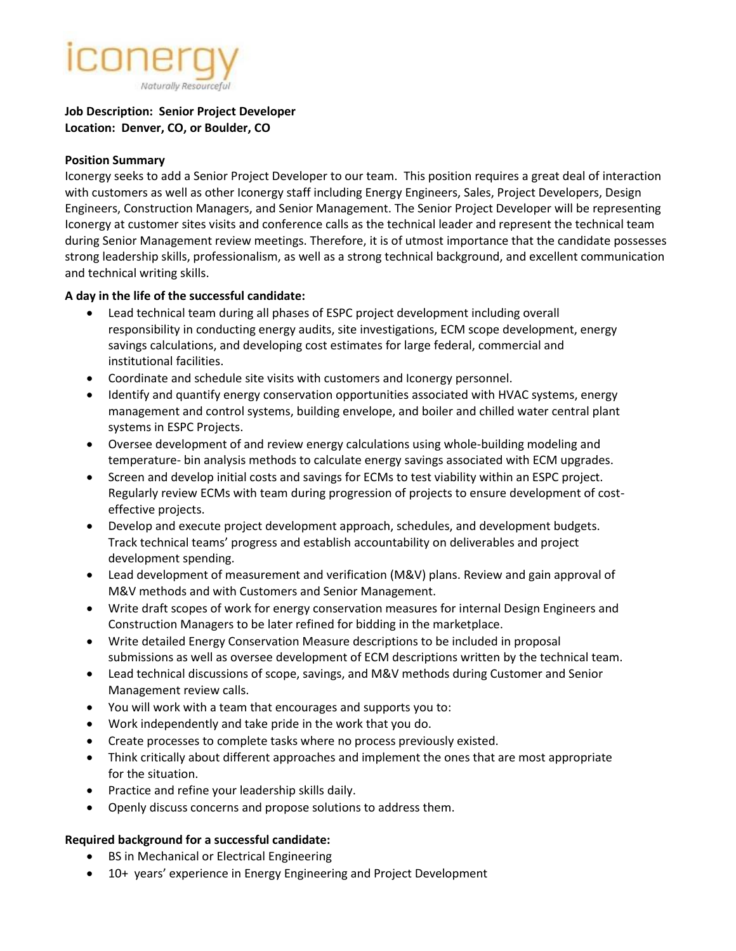

## **Job Description: Senior Project Developer Location: Denver, CO, or Boulder, CO**

#### **Position Summary**

Iconergy seeks to add a Senior Project Developer to our team. This position requires a great deal of interaction with customers as well as other Iconergy staff including Energy Engineers, Sales, Project Developers, Design Engineers, Construction Managers, and Senior Management. The Senior Project Developer will be representing Iconergy at customer sites visits and conference calls as the technical leader and represent the technical team during Senior Management review meetings. Therefore, it is of utmost importance that the candidate possesses strong leadership skills, professionalism, as well as a strong technical background, and excellent communication and technical writing skills.

#### **A day in the life of the successful candidate:**

- Lead technical team during all phases of ESPC project development including overall responsibility in conducting energy audits, site investigations, ECM scope development, energy savings calculations, and developing cost estimates for large federal, commercial and institutional facilities.
- Coordinate and schedule site visits with customers and Iconergy personnel.
- Identify and quantify energy conservation opportunities associated with HVAC systems, energy management and control systems, building envelope, and boiler and chilled water central plant systems in ESPC Projects.
- Oversee development of and review energy calculations using whole-building modeling and temperature- bin analysis methods to calculate energy savings associated with ECM upgrades.
- Screen and develop initial costs and savings for ECMs to test viability within an ESPC project. Regularly review ECMs with team during progression of projects to ensure development of costeffective projects.
- Develop and execute project development approach, schedules, and development budgets. Track technical teams' progress and establish accountability on deliverables and project development spending.
- Lead development of measurement and verification (M&V) plans. Review and gain approval of M&V methods and with Customers and Senior Management.
- Write draft scopes of work for energy conservation measures for internal Design Engineers and Construction Managers to be later refined for bidding in the marketplace.
- Write detailed Energy Conservation Measure descriptions to be included in proposal submissions as well as oversee development of ECM descriptions written by the technical team.
- Lead technical discussions of scope, savings, and M&V methods during Customer and Senior Management review calls.
- You will work with a team that encourages and supports you to:
- Work independently and take pride in the work that you do.
- Create processes to complete tasks where no process previously existed.
- Think critically about different approaches and implement the ones that are most appropriate for the situation.
- Practice and refine your leadership skills daily.
- Openly discuss concerns and propose solutions to address them.

#### **Required background for a successful candidate:**

- BS in Mechanical or Electrical Engineering
- 10+ years' experience in Energy Engineering and Project Development